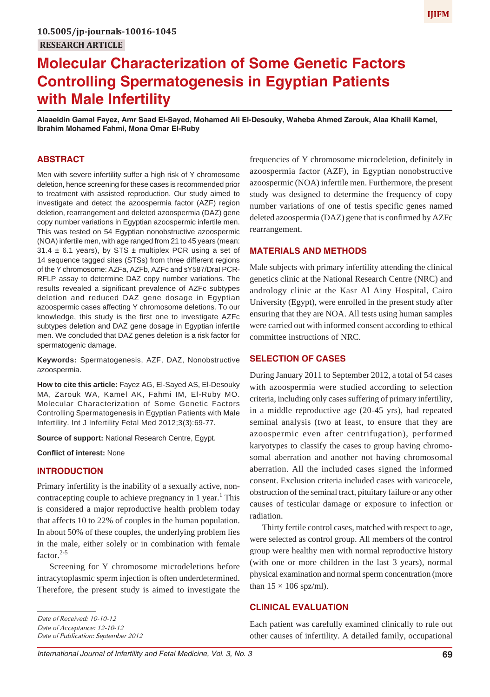# **Molecular Characterization of Some Genetic Factors Controlling Spermatogenesis in Egyptian Patients with Male Infertility**

**Alaaeldin Gamal Fayez, Amr Saad El-Sayed, Mohamed Ali El-Desouky, Waheba Ahmed Zarouk, Alaa Khalil Kamel, Ibrahim Mohamed Fahmi, Mona Omar El-Ruby**

# **ABSTRACT**

Men with severe infertility suffer a high risk of Y chromosome deletion, hence screening for these cases is recommended prior to treatment with assisted reproduction. Our study aimed to investigate and detect the azoospermia factor (AZF) region deletion, rearrangement and deleted azoospermia (DAZ) gene copy number variations in Egyptian azoospermic infertile men. This was tested on 54 Egyptian nonobstructive azoospermic (NOA) infertile men, with age ranged from 21 to 45 years (mean: 31.4  $\pm$  6.1 years), by STS  $\pm$  multiplex PCR using a set of 14 sequence tagged sites (STSs) from three different regions of the Y chromosome: AZFa, AZFb, AZFc and sY587/DraI PCR-RFLP assay to determine DAZ copy number variations. The results revealed a significant prevalence of AZFc subtypes deletion and reduced DAZ gene dosage in Egyptian azoospermic cases affecting Y chromosome deletions. To our knowledge, this study is the first one to investigate AZFc subtypes deletion and DAZ gene dosage in Egyptian infertile men. We concluded that DAZ genes deletion is a risk factor for spermatogenic damage.

**Keywords:** Spermatogenesis, AZF, DAZ, Nonobstructive azoospermia.

**How to cite this article:** Fayez AG, El-Sayed AS, El-Desouky MA, Zarouk WA, Kamel AK, Fahmi IM, El-Ruby MO. Molecular Characterization of Some Genetic Factors Controlling Spermatogenesis in Egyptian Patients with Male Infertility. Int J Infertility Fetal Med 2012;3(3):69-77.

**Source of support:** National Research Centre, Egypt.

**Conflict of interest:** None

### **INTRODUCTION**

Primary infertility is the inability of a sexually active, noncontracepting couple to achieve pregnancy in 1 year.<sup>1</sup> This is considered a major reproductive health problem today that affects 10 to 22% of couples in the human population. In about 50% of these couples, the underlying problem lies in the male, either solely or in combination with female factor. $2-5$ 

Screening for Y chromosome microdeletions before intracytoplasmic sperm injection is often underdetermined. Therefore, the present study is aimed to investigate the

*Date of Acceptance: 12-10-12*

*Date of Publication: September 2012*

frequencies of Y chromosome microdeletion, definitely in azoospermia factor (AZF), in Egyptian nonobstructive azoospermic (NOA) infertile men. Furthermore, the present study was designed to determine the frequency of copy number variations of one of testis specific genes named deleted azoospermia (DAZ) gene that is confirmed by AZFc rearrangement.

### **MATERIALS AND METHODS**

Male subjects with primary infertility attending the clinical genetics clinic at the National Research Centre (NRC) and andrology clinic at the Kasr Al Ainy Hospital, Cairo University (Egypt), were enrolled in the present study after ensuring that they are NOA. All tests using human samples were carried out with informed consent according to ethical committee instructions of NRC.

# **SELECTION OF CASES**

During January 2011 to September 2012, a total of 54 cases with azoospermia were studied according to selection criteria, including only cases suffering of primary infertility, in a middle reproductive age (20-45 yrs), had repeated seminal analysis (two at least, to ensure that they are azoospermic even after centrifugation), performed karyotypes to classify the cases to group having chromosomal aberration and another not having chromosomal aberration. All the included cases signed the informed consent. Exclusion criteria included cases with varicocele, obstruction of the seminal tract, pituitary failure or any other causes of testicular damage or exposure to infection or radiation.

Thirty fertile control cases, matched with respect to age, were selected as control group. All members of the control group were healthy men with normal reproductive history (with one or more children in the last 3 years), normal physical examination and normal sperm concentration (more than  $15 \times 106$  spz/ml).

# **CLINICAL EVALUATION**

Each patient was carefully examined clinically to rule out other causes of infertility. A detailed family, occupational

*Date of Received: 10-10-12*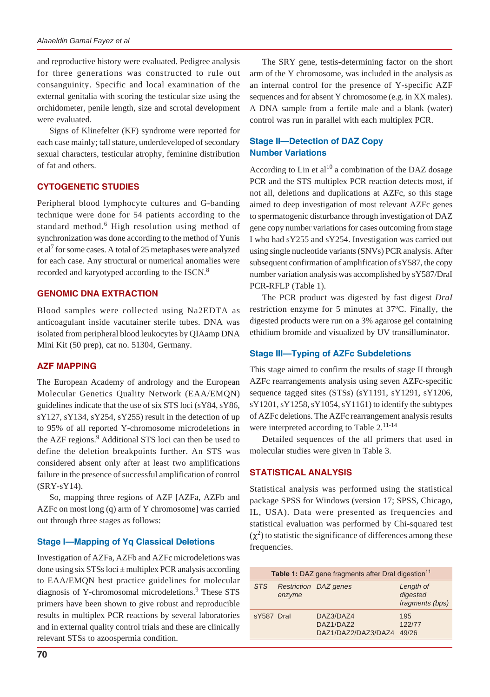and reproductive history were evaluated. Pedigree analysis for three generations was constructed to rule out consanguinity. Specific and local examination of the external genitalia with scoring the testicular size using the orchidometer, penile length, size and scrotal development were evaluated.

Signs of Klinefelter (KF) syndrome were reported for each case mainly; tall stature, underdeveloped of secondary sexual characters, testicular atrophy, feminine distribution of fat and others.

# **CYTOGENETIC STUDIES**

Peripheral blood lymphocyte cultures and G-banding technique were done for 54 patients according to the standard method.<sup>6</sup> High resolution using method of synchronization was done according to the method of Yunis et al<sup>7</sup> for some cases. A total of 25 metaphases were analyzed for each case. Any structural or numerical anomalies were recorded and karyotyped according to the ISCN.<sup>8</sup>

# **GENOMIC DNA EXTRACTION**

Blood samples were collected using Na2EDTA as anticoagulant inside vacutainer sterile tubes. DNA was isolated from peripheral blood leukocytes by QIAamp DNA Mini Kit (50 prep), cat no. 51304, Germany.

### **AZF MAPPING**

The European Academy of andrology and the European Molecular Genetics Quality Network (EAA/EMQN) guidelines indicate that the use of six STS loci (sY84, sY86, sY127, sY134, sY254, sY255) result in the detection of up to 95% of all reported Y-chromosome microdeletions in the AZF regions.<sup>9</sup> Additional STS loci can then be used to define the deletion breakpoints further. An STS was considered absent only after at least two amplifications failure in the presence of successful amplification of control (SRY-sY14).

So, mapping three regions of AZF [AZFa, AZFb and AZFc on most long (q) arm of Y chromosome] was carried out through three stages as follows:

### **Stage I—Mapping of Yq Classical Deletions**

Investigation of AZFa, AZFb and AZFc microdeletions was done using six  $STSs$  loci  $\pm$  multiplex PCR analysis according to EAA/EMQN best practice guidelines for molecular diagnosis of Y-chromosomal microdeletions.<sup>9</sup> These STS primers have been shown to give robust and reproducible results in multiplex PCR reactions by several laboratories and in external quality control trials and these are clinically relevant STSs to azoospermia condition.

The SRY gene, testis-determining factor on the short arm of the Y chromosome, was included in the analysis as an internal control for the presence of Y-specific AZF sequences and for absent Y chromosome (e.g. in XX males). A DNA sample from a fertile male and a blank (water) control was run in parallel with each multiplex PCR.

# **Stage II—Detection of DAZ Copy Number Variations**

According to Lin et  $al^{10}$  a combination of the DAZ dosage PCR and the STS multiplex PCR reaction detects most, if not all, deletions and duplications at AZFc, so this stage aimed to deep investigation of most relevant AZFc genes to spermatogenic disturbance through investigation of DAZ gene copy number variations for cases outcoming from stage I who had sY255 and sY254. Investigation was carried out using single nucleotide variants (SNVs) PCR analysis. After subsequent confirmation of amplification of sY587, the copy number variation analysis was accomplished by sY587/DraI PCR-RFLP (Table 1).

The PCR product was digested by fast digest *DraI* restriction enzyme for 5 minutes at 37ºC. Finally, the digested products were run on a 3% agarose gel containing ethidium bromide and visualized by UV transilluminator.

# **Stage III—Typing of AZFc Subdeletions**

This stage aimed to confirm the results of stage II through AZFc rearrangements analysis using seven AZFc-specific sequence tagged sites (STSs) (sY1191, sY1291, sY1206,  $sY1201, sY1258, sY1054, sY1161$  to identify the subtypes of AZFc deletions. The AZFc rearrangement analysis results were interpreted according to Table 2.<sup>11-14</sup>

Detailed sequences of the all primers that used in molecular studies were given in Table 3.

# **STATISTICAL ANALYSIS**

Statistical analysis was performed using the statistical package SPSS for Windows (version 17; SPSS, Chicago, IL, USA). Data were presented as frequencies and statistical evaluation was performed by Chi-squared test  $(\chi^2)$  to statistic the significance of differences among these frequencies.

| Table 1: DAZ gene fragments after Dral digestion <sup>11</sup> |        |                                               |                                          |  |  |  |
|----------------------------------------------------------------|--------|-----------------------------------------------|------------------------------------------|--|--|--|
| <b>STS</b>                                                     | enzyme | Restriction DAZ genes                         | Length of<br>digested<br>fragments (bps) |  |  |  |
| sY587 Dral                                                     |        | DAZ3/DAZ4<br>DAZ1/DAZ2<br>DAZ1/DAZ2/DAZ3/DAZ4 | 195<br>122/77<br>49/26                   |  |  |  |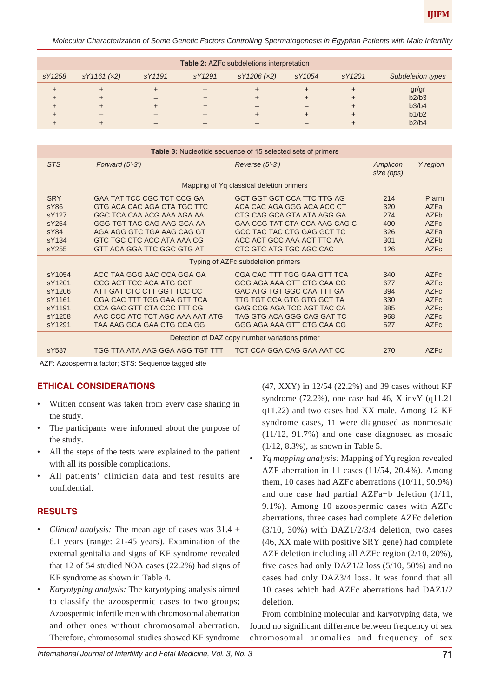*Molecular Characterization of Some Genetic Factors Controlling Spermatogenesis in Egyptian Patients with Male Infertility*

| <b>Table 2: AZFc subdeletions interpretation</b> |            |        |        |             |        |        |                   |
|--------------------------------------------------|------------|--------|--------|-------------|--------|--------|-------------------|
| sY1258                                           | sY1161(x2) | sY1191 | sY1291 | sY1206 (x2) | sY1054 | sY1201 | Subdeletion types |
| ÷                                                |            |        |        |             |        |        | gr/gr             |
| $\div$                                           |            |        |        |             |        |        | b2/b3             |
| ÷                                                |            |        |        |             |        |        | b3/b4             |
| ÷                                                |            |        |        |             |        |        | b1/b2             |
|                                                  |            |        |        |             |        |        | b2/b4             |

| <b>Table 3:</b> Nucleotide sequence of 15 selected sets of primers |                                                |                                          |                        |                  |  |  |  |  |
|--------------------------------------------------------------------|------------------------------------------------|------------------------------------------|------------------------|------------------|--|--|--|--|
| <b>STS</b>                                                         | Forward $(5'-3')$                              | Reverse (5'-3')                          | Amplicon<br>size (bps) | Y region         |  |  |  |  |
|                                                                    |                                                | Mapping of Yq classical deletion primers |                        |                  |  |  |  |  |
| <b>SRY</b>                                                         | GAA TAT TCC CGC TCT CCG GA                     | <b>GCT GGT GCT CCA TTC TTG AG</b>        | 214                    | P arm            |  |  |  |  |
| SY86                                                               | GTG ACA CAC AGA CTA TGC TTC                    | ACA CAC AGA GGG ACA ACC CT               | 320                    | A7Fa             |  |  |  |  |
| sY127                                                              | GGC TCA CAA ACG AAA AGA AA                     | CTG CAG GCA GTA ATA AGG GA               | 274                    | A7F <sub>b</sub> |  |  |  |  |
| sY254                                                              | GGG TGT TAC CAG AAG GCA AA                     | GAA CCG TAT CTA CCA AAG CAG C            | 400                    | AZFC             |  |  |  |  |
| sY84                                                               | AGA AGG GTC TGA AAG CAG GT                     | GCC TAC TAC CTG GAG GCT TC               | 326                    | A7Fa             |  |  |  |  |
| sY134                                                              | GTC TGC CTC ACC ATA AAA CG                     | ACC ACT GCC AAA ACT TTC AA               | 301                    | AZFb             |  |  |  |  |
| sY255                                                              | GTT ACA GGA TTC GGC GTG AT                     | CTC GTC ATG TGC AGC CAC                  | 126                    | <b>AZFc</b>      |  |  |  |  |
|                                                                    |                                                | Typing of AZFc subdeletion primers       |                        |                  |  |  |  |  |
| sY1054                                                             | ACC TAA GGG AAC CCA GGA GA                     | CGA CAC TTT TGG GAA GTT TCA              | 340                    | AZF <sub>c</sub> |  |  |  |  |
| sY1201                                                             | CCG ACT TCC ACA ATG GCT                        | GGG AGA AAA GTT CTG CAA CG               | 677                    | AZF <sub>c</sub> |  |  |  |  |
| sY1206                                                             | ATT GAT CTC CTT GGT TCC CC                     | GAC ATG TGT GGC CAA TTT GA               | 394                    | AZF <sub>c</sub> |  |  |  |  |
| sY1161                                                             | CGA CAC TTT TGG GAA GTT TCA                    | TTG TGT CCA GTG GTG GCT TA               | 330                    | AZF <sub>c</sub> |  |  |  |  |
| sY1191                                                             | CCA GAC GTT CTA CCC TTT CG                     | GAG CCG AGA TCC AGT TAC CA               | 385                    | AZF <sub>c</sub> |  |  |  |  |
| sY1258                                                             | AAC CCC ATC TCT AGC AAA AAT ATG                | TAG GTG ACA GGG CAG GAT TC               | 968                    | AZF <sub>c</sub> |  |  |  |  |
| sY1291                                                             | TAA AAG GCA GAA CTG CCA GG                     | GGG AGA AAA GTT CTG CAA CG               | 527                    | AZF <sub>c</sub> |  |  |  |  |
|                                                                    | Detection of DAZ copy number variations primer |                                          |                        |                  |  |  |  |  |
| sY587                                                              | TGG TTA ATA AAG GGA AGG TGT TTT                | TCT CCA GGA CAG GAA AAT CC               | 270                    | AZFc             |  |  |  |  |
|                                                                    |                                                |                                          |                        |                  |  |  |  |  |

AZF: Azoospermia factor; STS: Sequence tagged site

### **ETHICAL CONSIDERATIONS**

- Written consent was taken from every case sharing in the study.
- The participants were informed about the purpose of the study.
- All the steps of the tests were explained to the patient with all its possible complications.
- All patients' clinician data and test results are confidential.

### **RESULTS**

- *Clinical analysis:* The mean age of cases was  $31.4 \pm$ 6.1 years (range: 21-45 years). Examination of the external genitalia and signs of KF syndrome revealed that 12 of 54 studied NOA cases (22.2%) had signs of KF syndrome as shown in Table 4.
- *Karyotyping analysis:* The karyotyping analysis aimed to classify the azoospermic cases to two groups; Azoospermic infertile men with chromosomal aberration and other ones without chromosomal aberration. Therefore, chromosomal studies showed KF syndrome

(47, XXY) in 12/54 (22.2%) and 39 cases without KF syndrome  $(72.2\%)$ , one case had 46, X invY  $(q11.21)$ q11.22) and two cases had XX male. Among 12 KF syndrome cases, 11 were diagnosed as nonmosaic (11/12, 91.7%) and one case diagnosed as mosaic (1/12, 8.3%), as shown in Table 5.

• *Yq mapping analysis:* Mapping of Yq region revealed AZF aberration in 11 cases (11/54, 20.4%). Among them, 10 cases had AZFc aberrations (10/11, 90.9%) and one case had partial AZFa+b deletion (1/11, 9.1%). Among 10 azoospermic cases with AZFc aberrations, three cases had complete AZFc deletion  $(3/10, 30\%)$  with DAZ1/2/3/4 deletion, two cases (46, XX male with positive SRY gene) had complete AZF deletion including all AZFc region (2/10, 20%), five cases had only DAZ1/2 loss (5/10, 50%) and no cases had only DAZ3/4 loss. It was found that all 10 cases which had AZFc aberrations had DAZ1/2 deletion.

From combining molecular and karyotyping data, we found no significant difference between frequency of sex chromosomal anomalies and frequency of sex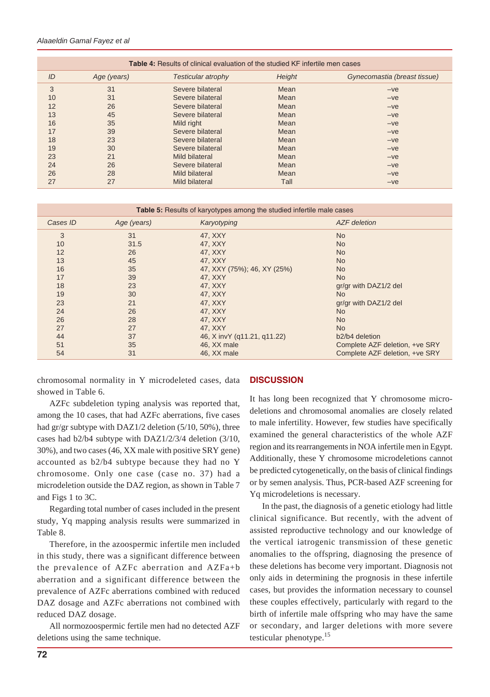#### *Alaaeldin Gamal Fayez et al*

| <b>Table 4:</b> Results of clinical evaluation of the studied KF infertile men cases |             |                           |        |                              |  |  |  |  |
|--------------------------------------------------------------------------------------|-------------|---------------------------|--------|------------------------------|--|--|--|--|
| ID                                                                                   | Age (years) | <b>Testicular atrophy</b> | Height | Gynecomastia (breast tissue) |  |  |  |  |
| 3                                                                                    | 31          | Severe bilateral          | Mean   | $-ve$                        |  |  |  |  |
| 10                                                                                   | 31          | Severe bilateral          | Mean   | $-ve$                        |  |  |  |  |
| 12                                                                                   | 26          | Severe bilateral          | Mean   | $-ve$                        |  |  |  |  |
| 13                                                                                   | 45          | Severe bilateral          | Mean   | $-ve$                        |  |  |  |  |
| 16                                                                                   | 35          | Mild right                | Mean   | $-ve$                        |  |  |  |  |
| 17                                                                                   | 39          | Severe bilateral          | Mean   | $-ve$                        |  |  |  |  |
| 18                                                                                   | 23          | Severe bilateral          | Mean   | $-ve$                        |  |  |  |  |
| 19                                                                                   | 30          | Severe bilateral          | Mean   | $-ve$                        |  |  |  |  |
| 23                                                                                   | 21          | Mild bilateral            | Mean   | $-ve$                        |  |  |  |  |
| 24                                                                                   | 26          | Severe bilateral          | Mean   | $-ve$                        |  |  |  |  |
| 26                                                                                   | 28          | Mild bilateral            | Mean   | $-ve$                        |  |  |  |  |
| 27                                                                                   | 27          | Mild bilateral            | Tall   | $-ve$                        |  |  |  |  |

#### **Table 5:** Results of karyotypes among the studied infertile male cases

| Cases ID | Age (years) | Karyotyping                 | <b>AZF</b> deletion                     |
|----------|-------------|-----------------------------|-----------------------------------------|
| 3        | 31          | 47, XXY                     | <b>No</b>                               |
| 10       | 31.5        | 47. XXY                     | <b>No</b>                               |
| 12       | 26          | 47, XXY                     | <b>No</b>                               |
| 13       | 45          | 47, XXY                     | <b>No</b>                               |
| 16       | 35          | 47, XXY (75%); 46, XY (25%) | <b>No</b>                               |
| 17       | 39          | 47, XXY                     | <b>No</b>                               |
| 18       | 23          | 47. XXY                     | gr/gr with DAZ1/2 del                   |
| 19       | 30          | 47, XXY                     | <b>No</b>                               |
| 23       | 21          | 47, XXY                     | gr/gr with DAZ1/2 del                   |
| 24       | 26          | 47, XXY                     | <b>No</b>                               |
| 26       | 28          | 47, XXY                     | <b>No</b>                               |
| 27       | 27          | 47, XXY                     | <b>No</b>                               |
| 44       | 37          | 46, X invY (q11.21, q11.22) | b <sub>2</sub> /b <sub>4</sub> deletion |
| 51       | 35          | 46, XX male                 | Complete AZF deletion, +ve SRY          |
| 54       | 31          | 46, XX male                 | Complete AZF deletion, +ve SRY          |

chromosomal normality in Y microdeleted cases, data showed in Table 6.

#### **DISCUSSION**

AZFc subdeletion typing analysis was reported that, among the 10 cases, that had AZFc aberrations, five cases had gr/gr subtype with DAZ1/2 deletion (5/10, 50%), three cases had b2/b4 subtype with DAZ1/2/3/4 deletion (3/10, 30%), and two cases (46, XX male with positive SRY gene) accounted as b2/b4 subtype because they had no Y chromosome. Only one case (case no. 37) had a microdeletion outside the DAZ region, as shown in Table 7 and Figs 1 to 3C.

Regarding total number of cases included in the present study, Yq mapping analysis results were summarized in Table 8.

Therefore, in the azoospermic infertile men included in this study, there was a significant difference between the prevalence of AZFc aberration and AZFa+b aberration and a significant difference between the prevalence of AZFc aberrations combined with reduced DAZ dosage and AZFc aberrations not combined with reduced DAZ dosage.

All normozoospermic fertile men had no detected AZF deletions using the same technique.

It has long been recognized that Y chromosome microdeletions and chromosomal anomalies are closely related to male infertility. However, few studies have specifically examined the general characteristics of the whole AZF region and its rearrangements in NOA infertile men in Egypt. Additionally, these Y chromosome microdeletions cannot be predicted cytogenetically, on the basis of clinical findings or by semen analysis. Thus, PCR-based AZF screening for Yq microdeletions is necessary.

In the past, the diagnosis of a genetic etiology had little clinical significance. But recently, with the advent of assisted reproductive technology and our knowledge of the vertical iatrogenic transmission of these genetic anomalies to the offspring, diagnosing the presence of these deletions has become very important. Diagnosis not only aids in determining the prognosis in these infertile cases, but provides the information necessary to counsel these couples effectively, particularly with regard to the birth of infertile male offspring who may have the same or secondary, and larger deletions with more severe testicular phenotype.<sup>15</sup>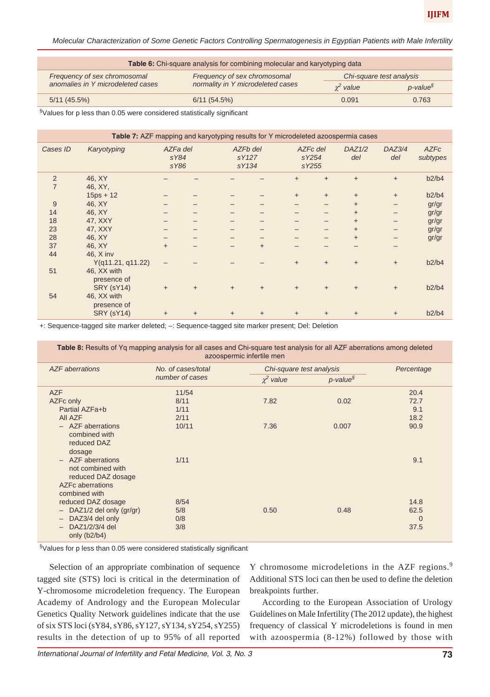*Molecular Characterization of Some Genetic Factors Controlling Spermatogenesis in Egyptian Patients with Male Infertility*

| Table 6: Chi-square analysis for combining molecular and karyotyping data                |                                   |             |                         |  |  |  |  |
|------------------------------------------------------------------------------------------|-----------------------------------|-------------|-------------------------|--|--|--|--|
| Frequency of sex chromosomal<br>Frequency of sex chromosomal<br>Chi-square test analysis |                                   |             |                         |  |  |  |  |
| anomalies in Y microdeleted cases                                                        | normality in Y microdeleted cases | $x^2$ value | $p$ -value <sup>§</sup> |  |  |  |  |
| 5/11(45.5%)                                                                              | 6/11(54.5%)                       | 0.091       | 0.763                   |  |  |  |  |
|                                                                                          |                                   |             |                         |  |  |  |  |

§Values for p less than 0.05 were considered statistically significant

| Table 7: AZF mapping and karyotyping results for Y microdeleted azoospermia cases |                                                 |                          |           |           |                   |          |                |               |               |                         |
|-----------------------------------------------------------------------------------|-------------------------------------------------|--------------------------|-----------|-----------|-------------------|----------|----------------|---------------|---------------|-------------------------|
| Cases ID                                                                          | Karyotyping                                     | AZFa del<br>sY84<br>sY86 |           | sY134     | AZFb del<br>sY127 | AZFc del | sY254<br>sY255 | DAZ1/2<br>del | DAZ3/4<br>del | <b>AZFc</b><br>subtypes |
| $\overline{2}$<br>$\overline{7}$                                                  | 46, XY<br>46, XY,                               |                          |           |           |                   | $+$      | $\ddot{}$      | $+$           | $+$           | b2/b4                   |
|                                                                                   | $15ps + 12$                                     |                          |           |           |                   | $+$      | $\ddot{}$      | $+$           | $+$           | b2/b4                   |
| 9                                                                                 | 46, XY                                          |                          |           |           |                   |          |                | $+$           |               | gr/gr                   |
| 14                                                                                | 46, XY                                          |                          |           |           |                   |          |                | $+$           |               | gr/gr                   |
| 18                                                                                | 47, XXY                                         |                          |           |           |                   |          |                | $+$           |               | gr/gr                   |
| 23                                                                                | 47, XXY                                         |                          |           |           |                   |          |                | $+$           |               | gr/gr                   |
| 28                                                                                | 46, XY                                          |                          |           |           |                   |          |                | $+$           |               | gr/gr                   |
| 37                                                                                | 46, XY                                          | $+$                      |           |           | $+$               |          |                |               |               |                         |
| 44                                                                                | 46, X inv<br>Y(q11.21, q11.22)                  |                          |           |           |                   | $+$      | $+$            | $+$           | $+$           | b2/b4                   |
| 51                                                                                | 46, XX with<br>presence of                      |                          |           |           |                   |          |                |               |               |                         |
| 54                                                                                | <b>SRY (sY14)</b><br>46, XX with<br>presence of | $\ddot{}$                | $\ddot{}$ | $+$       | $\ddot{}$         | $+$      | $+$            | $+$           | $+$           | b2/b4                   |
|                                                                                   | <b>SRY (sY14)</b>                               | $\ddot{}$                | $\ddot{}$ | $\ddot{}$ | $\ddot{}$         | $+$      | $\ddot{}$      | $\ddot{}$     | $\ddot{}$     | b2/b4                   |

+: Sequence-tagged site marker deleted; –: Sequence-tagged site marker present; Del: Deletion

| Table 8: Results of Yq mapping analysis for all cases and Chi-square test analysis for all AZF aberrations among deleted<br>azoospermic infertile men |                                        |                          |                     |                                     |  |  |  |
|-------------------------------------------------------------------------------------------------------------------------------------------------------|----------------------------------------|--------------------------|---------------------|-------------------------------------|--|--|--|
| <b>AZF</b> aberrations                                                                                                                                | No. of cases/total                     | Chi-square test analysis | Percentage          |                                     |  |  |  |
|                                                                                                                                                       | number of cases                        | $\chi^2$ value           | $p$ -value $\delta$ |                                     |  |  |  |
| <b>AZF</b><br>AZFc only<br>Partial AZFa+b<br>AII AZF<br>$-$ AZF aberrations<br>combined with<br>reduced DAZ<br>dosage                                 | 11/54<br>8/11<br>1/11<br>2/11<br>10/11 | 7.82<br>7.36             | 0.02<br>0.007       | 20.4<br>72.7<br>9.1<br>18.2<br>90.9 |  |  |  |
| $-$ AZF aberrations<br>not combined with<br>reduced DAZ dosage<br>AZFc aberrations<br>combined with                                                   | 1/11                                   |                          |                     | 9.1                                 |  |  |  |
| reduced DAZ dosage<br>DAZ1/2 del only (gr/gr)<br>$\qquad \qquad -$<br>DAZ3/4 del only<br>$\qquad \qquad -$<br>DAZ1/2/3/4 del<br>only $(b2/b4)$        | 8/54<br>5/8<br>0/8<br>3/8              | 0.50                     | 0.48                | 14.8<br>62.5<br>$\Omega$<br>37.5    |  |  |  |

§Values for p less than 0.05 were considered statistically significant

Selection of an appropriate combination of sequence tagged site (STS) loci is critical in the determination of Y-chromosome microdeletion frequency. The European Academy of Andrology and the European Molecular Genetics Quality Network guidelines indicate that the use of six STS loci (sY84, sY86, sY127, sY134, sY254, sY255) results in the detection of up to 95% of all reported

Y chromosome microdeletions in the AZF regions.<sup>9</sup> Additional STS loci can then be used to define the deletion breakpoints further.

According to the European Association of Urology Guidelines on Male Infertility (The 2012 update), the highest frequency of classical Y microdeletions is found in men with azoospermia (8-12%) followed by those with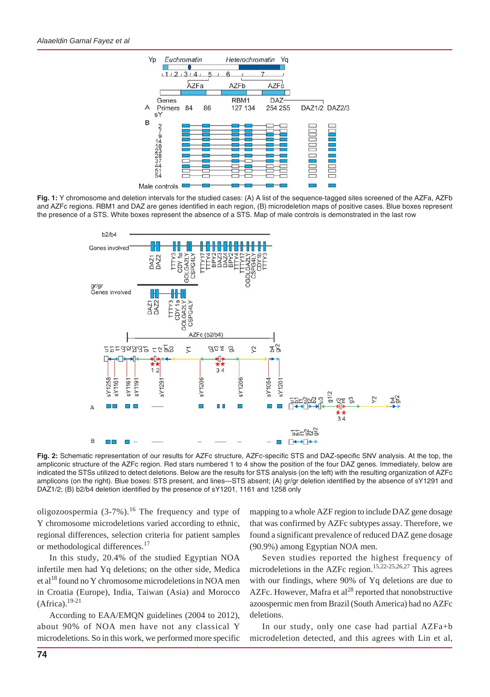

**Fig. 1:** Y chromosome and deletion intervals for the studied cases: (A) A list of the sequence-tagged sites screened of the AZFa, AZFb and AZFc regions. RBM1 and DAZ are genes identified in each region, (B) microdeletion maps of positive cases. Blue boxes represent the presence of a STS. White boxes represent the absence of a STS. Map of male controls is demonstrated in the last row



**Fig. 2:** Schematic representation of our results for AZFc structure, AZFc-specific STS and DAZ-specific SNV analysis. At the top, the ampliconic structure of the AZFc region. Red stars numbered 1 to 4 show the position of the four DAZ genes. Immediately, below are indicated the STSs utilized to detect deletions. Below are the results for STS analysis (on the left) with the resulting organization of AZFc amplicons (on the right). Blue boxes: STS present, and lines—STS absent; (A) gr/gr deletion identified by the absence of sY1291 and DAZ1/2; (B) b2/b4 deletion identified by the presence of sY1201, 1161 and 1258 only

oligozoospermia  $(3-7%)$ <sup>16</sup> The frequency and type of Y chromosome microdeletions varied according to ethnic, regional differences, selection criteria for patient samples or methodological differences.<sup>17</sup>

In this study, 20.4% of the studied Egyptian NOA infertile men had Yq deletions; on the other side, Medica et al<sup>18</sup> found no Y chromosome microdeletions in NOA men in Croatia (Europe), India, Taiwan (Asia) and Morocco  $(A$ frica).<sup>19-21</sup>

According to EAA/EMQN guidelines (2004 to 2012), about 90% of NOA men have not any classical Y microdeletions. So in this work, we performed more specific mapping to a whole AZF region to include DAZ gene dosage that was confirmed by AZFc subtypes assay. Therefore, we found a significant prevalence of reduced DAZ gene dosage (90.9%) among Egyptian NOA men.

Seven studies reported the highest frequency of microdeletions in the AZFc region.15,22-25,26,27 This agrees with our findings, where 90% of Yq deletions are due to AZFc. However, Mafra et al<sup>28</sup> reported that nonobstructive azoospermic men from Brazil (South America) had no AZFc deletions.

In our study, only one case had partial AZFa+b microdeletion detected, and this agrees with Lin et al,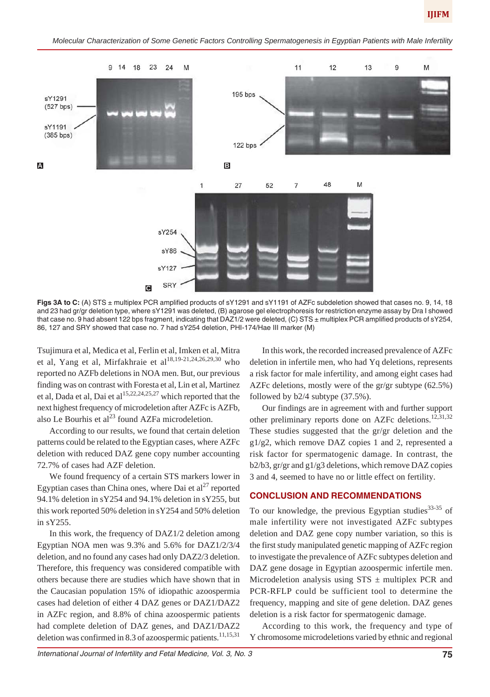*Molecular Characterization of Some Genetic Factors Controlling Spermatogenesis in Egyptian Patients with Male Infertility*



Figs 3A to C: (A) STS ± multiplex PCR amplified products of sY1291 and sY1191 of AZFc subdeletion showed that cases no. 9, 14, 18 and 23 had gr/gr deletion type, where sY1291 was deleted, (B) agarose gel electrophoresis for restriction enzyme assay by Dra I showed that case no. 9 had absent 122 bps fragment, indicating that DAZ1/2 were deleted, (C) STS ± multiplex PCR amplified products of sY254, 86, 127 and SRY showed that case no. 7 had sY254 deletion, PHI-174/Hae III marker (M)

Tsujimura et al, Medica et al, Ferlin et al, Imken et al, Mitra et al, Yang et al, Mirfakhraie et al<sup>18,19-21,24,26,29,30</sup> who reported no AZFb deletions in NOA men. But, our previous finding was on contrast with Foresta et al, Lin et al, Martinez et al, Dada et al, Dai et al<sup>15,22,24,25,27</sup> which reported that the next highest frequency of microdeletion after AZFc is AZFb, also Le Bourhis et al $^{23}$  found AZFa microdeletion.

According to our results, we found that certain deletion patterns could be related to the Egyptian cases, where AZFc deletion with reduced DAZ gene copy number accounting 72.7% of cases had AZF deletion.

We found frequency of a certain STS markers lower in Egyptian cases than China ones, where Dai et  $al^{27}$  reported 94.1% deletion in sY254 and 94.1% deletion in sY255, but this work reported 50% deletion in sY254 and 50% deletion in sY255.

In this work, the frequency of DAZ1/2 deletion among Egyptian NOA men was 9.3% and 5.6% for DAZ1/2/3/4 deletion, and no found any cases had only DAZ2/3 deletion. Therefore, this frequency was considered compatible with others because there are studies which have shown that in the Caucasian population 15% of idiopathic azoospermia cases had deletion of either 4 DAZ genes or DAZ1/DAZ2 in AZFc region, and 8.8% of china azoospermic patients had complete deletion of DAZ genes, and DAZ1/DAZ2 deletion was confirmed in 8.3 of azoospermic patients.<sup>11,15,31</sup>

In this work, the recorded increased prevalence of AZFc deletion in infertile men, who had Yq deletions, represents a risk factor for male infertility, and among eight cases had AZFc deletions, mostly were of the gr/gr subtype (62.5%) followed by b2/4 subtype (37.5%).

Our findings are in agreement with and further support other preliminary reports done on AZFc deletions.<sup>12,31,32</sup> These studies suggested that the gr/gr deletion and the g1/g2, which remove DAZ copies 1 and 2, represented a risk factor for spermatogenic damage. In contrast, the b2/b3, gr/gr and g1/g3 deletions, which remove DAZ copies 3 and 4, seemed to have no or little effect on fertility.

# **CONCLUSION AND RECOMMENDATIONS**

To our knowledge, the previous Egyptian studies  $33-35$  of male infertility were not investigated AZFc subtypes deletion and DAZ gene copy number variation, so this is the first study manipulated genetic mapping of AZFc region to investigate the prevalence of AZFc subtypes deletion and DAZ gene dosage in Egyptian azoospermic infertile men. Microdeletion analysis using  $STS \pm$  multiplex PCR and PCR-RFLP could be sufficient tool to determine the frequency, mapping and site of gene deletion. DAZ genes deletion is a risk factor for spermatogenic damage.

According to this work, the frequency and type of Y chromosome microdeletions varied by ethnic and regional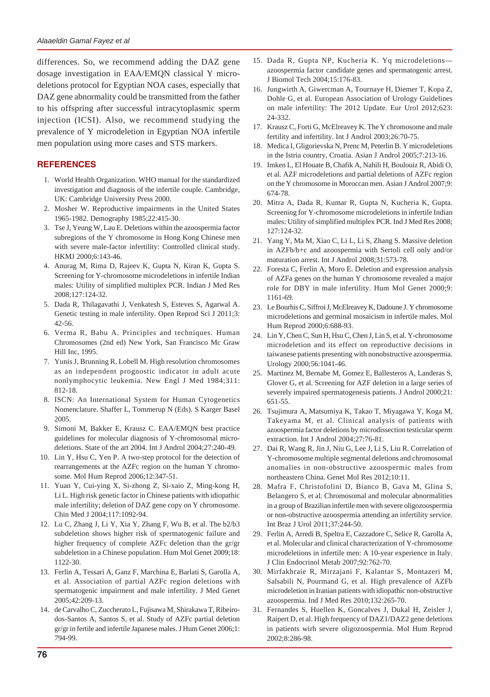differences. So, we recommend adding the DAZ gene dosage investigation in EAA/EMQN classical Y microdeletions protocol for Egyptian NOA cases, especially that DAZ gene abnormality could be transmitted from the father to his offspring after successful intracytoplasmic sperm injection (ICSI). Also, we recommend studying the prevalence of Y microdeletion in Egyptian NOA infertile men population using more cases and STS markers.

# **REFERENCES**

- 1. World Health Organization. WHO manual for the standardized investigation and diagnosis of the infertile couple. Cambridge, UK: Cambridge University Press 2000.
- 2. Mosher W. Reproductive impairments in the United States 1965-1982. Demography 1985;22:415-30.
- 3. Tse J, Yeung W, Lau E. Deletions within the azoospermia factor subregions of the Y chromosome in Hong Kong Chinese men with severe male-factor infertility: Controlled clinical study. HKMJ 2000;6:143-46.
- 4. Anurag M, Rima D, Rajeev K, Gupta N, Kiran K, Gupta S. Screening for Y-chromosome microdeletions in infertile Indian males: Utility of simplified multiplex PCR. Indian J Med Res 2008;127:124-32.
- 5. Dada R, Thilagavathi J, Venkatesh S, Esteves S, Agarwal A. Genetic testing in male infertility. Open Reprod Sci J 2011;3: 42-56.
- 6. Verma R, Babu A. Principles and techniques. Human Chromosomes (2nd ed) New York, San Francisco Mc Graw Hill Inc, 1995.
- 7. Yunis J, Brunning R, Lobell M. High resolution chromosomes as an independent prognostic indicator in adult acute nonlymphocytic leukemia. New Engl J Med 1984;311: 812-18.
- 8. ISCN: An International System for Human Cytogenetics Nomenclature. Shaffer L, Tommerup N (Eds). S Karger Basel 2005.
- 9. Simoni M, Bakker E, Krausz C. EAA/EMQN best practice guidelines for molecular diagnosis of Y-chromosomal microdeletions. State of the art 2004. Int J Androl 2004;27:240-49.
- 10. Lin Y, Hsu C, Yen P. A two-step protocol for the detection of rearrangements at the AZFc region on the human Y chromosome. Mol Hum Reprod 2006;12:347-51.
- 11. Yuan Y, Cui-ying X, Si-zhong Z, Si-xaio Z, Ming-kong H, Li L. High risk genetic factor in Chinese patients with idiopathic male infertility; deletion of DAZ gene copy on Y chromosome. Chin Med J 2004;117:1092-94.
- 12. Lu C, Zhang J, Li Y, Xia Y, Zhang F, Wu B, et al. The b2/b3 subdeletion shows higher risk of spermatogenic failure and higher frequency of complete AZFc deletion than the gr/gr subdeletion in a Chinese population. Hum Mol Genet 2009;18: 1122-30.
- 13. Ferlin A, Tessari A, Ganz F, Marchina E, Barlati S, Garolla A, et al. Association of partial AZFc region deletions with spermatogenic impairment and male infertility. J Med Genet 2005;42:209-13.
- 14. de Carvalho C, Zuccherato L, Fujisawa M, Shirakawa T, Ribeirodos-Santos A, Santos S, et al. Study of AZFc partial deletion gr/gr in fertile and infertile Japanese males. J Hum Genet 2006;1: 794-99.
- 15. Dada R, Gupta NP, Kucheria K. Yq microdeletions azoospermia factor candidate genes and spermatogenic arrest. J Biomol Tech 2004;15:176-83.
- 16. Jungwirth A, Giwercman A, Tournaye H, Diemer T, Kopa Z, Dohle G, et al. European Association of Urology Guidelines on male infertility: The 2012 Update. Eur Urol 2012;623: 24-332.
- 17. Krausz C, Forti G, McElreavey K. The Y chromosome and male fertility and infertility. Int J Androl 2003;26:70-75.
- 18. Medica I, Gligorievska N, Prenc M, Peterlin B. Y microdeletions in the Istria country, Croatia. Asian J Androl 2005;7:213-16.
- 19. Imken L, El Houate B, Chafik A, Nahili H, Boulouiz R, Abidi O, et al. AZF microdeletions and partial deletions of AZFc region on the Y chromosome in Moroccan men. Asian J Androl 2007;9: 674-78.
- 20. Mitra A, Dada R, Kumar R, Gupta N, Kucheria K, Gupta. Screening for Y-chromosome microdeletions in infertile Indian males: Utility of simplified multiplex PCR. Ind J Med Res 2008; 127:124-32.
- 21. Yang Y, Ma M, Xiao C, Li L, Li S, Zhang S. Massive deletion in AZFb/b+c and azoospermia with Sertoli cell only and/or maturation arrest. Int J Androl 2008;31:573-78.
- 22. Foresta C, Ferlin A, Moro E. Deletion and expression analysis of AZFa genes on the human Y chromosome revealed a major role for DBY in male infertility. Hum Mol Genet 2000;9: 1161-69.
- 23. Le Bourhis C, Siffroi J, McElreavey K, Dadoune J. Y chromosome microdeletions and germinal mosaicism in infertile males. Mol Hum Reprod 2000;6:688-93.
- 24. Lin Y, Chen C, Sun H, Hsu C, Chen J, Lin S, et al. Y-chromosome microdeletion and its effect on reproductive decisions in taiwanese patients presenting with nonobstructive azoospermia. Urology 2000;56:1041-46.
- 25. Martinez M, Bernabe M, Gomez E, Ballesteros A, Landeras S, Glover G, et al. Screening for AZF deletion in a large series of severely impaired spermatogenesis patients. J Androl 2000;21: 651-55.
- 26. Tsujimura A, Matsumiya K, Takao T, Miyagawa Y, Koga M, Takeyama M, et al. Clinical analysis of patients with azoospermia factor deletions by microdissection testicular sperm extraction. Int J Androl 2004;27:76-81.
- 27. Dai R, Wang R, Jin J, Niu G, Lee J, Li S, Liu R. Correlation of Y-chromosome multiple segmental deletions and chromosomal anomalies in non-obstructive azoospermic males from northeastern China. Genet Mol Res 2012;10:11.
- 28. Mafra F, Christofolini D, Bianco B, Gava M, Glina S, Belangero S, et al. Chromosomal and molecular abnormalities in a group of Brazilian infertile men with severe oligozoospermia or non-obstructive azoospermia attending an infertility service. Int Braz J Urol 2011;37:244-50.
- 29. Ferlin A, Arredi B, Speltra E, Cazzadore C, Selice R, Garolla A, et al. Molecular and clinical characterization of Y-chromosome microdeletions in infertile men: A 10-year experience in Italy. J Clin Endocrinol Metab 2007;92:762-70.
- 30. Mirfakhraie R, Mirzajani F, Kalantar S, Montazeri M, Salsabili N, Pourmand G, et al. High prevalence of AZFb microdeletion in Iranian patients with idiopathic non-obstructive azoospermia. Ind J Med Res 2010;132:265-70.
- 31. Fernandes S, Huellen K, Goncalves J, Dukal H, Zeisler J, Raipert D, et al. High frequency of DAZ1/DAZ2 gene deletions in patients wirh severe oligozoospermia. Mol Hum Reprod 2002;8:286-98.